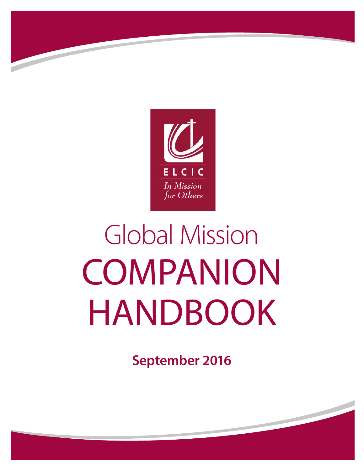

# Global Mission **COMPANION** HANDBOOK

**September 2016**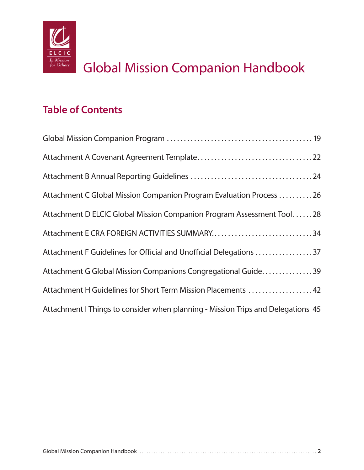

# Global Mission Companion Handbook

## **Table of Contents**

| Attachment C Global Mission Companion Program Evaluation Process 26              |
|----------------------------------------------------------------------------------|
| Attachment D ELCIC Global Mission Companion Program Assessment Tool28            |
| Attachment E CRA FOREIGN ACTIVITIES SUMMARY34                                    |
| Attachment F Guidelines for Official and Unofficial Delegations 37               |
| Attachment G Global Mission Companions Congregational Guide39                    |
| Attachment H Guidelines for Short Term Mission Placements 42                     |
| Attachment I Things to consider when planning - Mission Trips and Delegations 45 |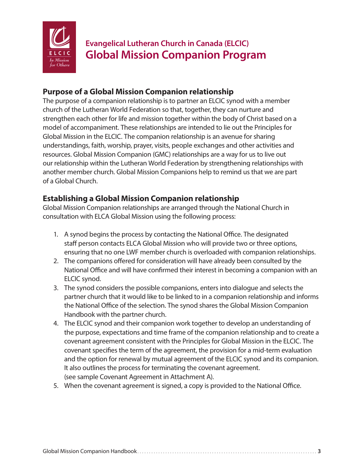

## **Evangelical Lutheran Church in Canada (ELCIC) Global Mission Companion Program**

#### **Purpose of a Global Mission Companion relationship**

The purpose of a companion relationship is to partner an ELCIC synod with a member church of the Lutheran World Federation so that, together, they can nurture and strengthen each other for life and mission together within the body of Christ based on a model of accompaniment. These relationships are intended to lie out the Principles for Global Mission in the ELCIC. The companion relationship is an avenue for sharing understandings, faith, worship, prayer, visits, people exchanges and other activities and resources. Global Mission Companion (GMC) relationships are a way for us to live out our relationship within the Lutheran World Federation by strengthening relationships with another member church. Global Mission Companions help to remind us that we are part of a Global Church.

#### **Establishing a Global Mission Companion relationship**

Global Mission Companion relationships are arranged through the National Church in consultation with ELCA Global Mission using the following process:

- 1. A synod begins the process by contacting the National Office. The designated staff person contacts ELCA Global Mission who will provide two or three options, ensuring that no one LWF member church is overloaded with companion relationships.
- 2. The companions offered for consideration will have already been consulted by the National Office and will have confirmed their interest in becoming a companion with an ELCIC synod.
- 3. The synod considers the possible companions, enters into dialogue and selects the partner church that it would like to be linked to in a companion relationship and informs the National Office of the selection. The synod shares the Global Mission Companion Handbook with the partner church.
- 4. The ELCIC synod and their companion work together to develop an understanding of the purpose, expectations and time frame of the companion relationship and to create a covenant agreement consistent with the Principles for Global Mission in the ELCIC. The covenant specifies the term of the agreement, the provision for a mid-term evaluation and the option for renewal by mutual agreement of the ELCIC synod and its companion. It also outlines the process for terminating the covenant agreement. (see sample Covenant Agreement in Attachment A).
- 5. When the covenant agreement is signed, a copy is provided to the National Office.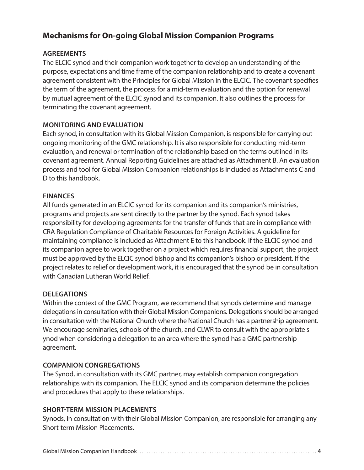#### **Mechanisms for On-going Global Mission Companion Programs**

#### **AGREEMENTS**

The ELCIC synod and their companion work together to develop an understanding of the purpose, expectations and time frame of the companion relationship and to create a covenant agreement consistent with the Principles for Global Mission in the ELCIC. The covenant specifies the term of the agreement, the process for a mid-term evaluation and the option for renewal by mutual agreement of the ELCIC synod and its companion. It also outlines the process for terminating the covenant agreement.

#### **MONITORING AND EVALUATION**

Each synod, in consultation with its Global Mission Companion, is responsible for carrying out ongoing monitoring of the GMC relationship. It is also responsible for conducting mid-term evaluation, and renewal or termination of the relationship based on the terms outlined in its covenant agreement. Annual Reporting Guidelines are attached as Attachment B. An evaluation process and tool for Global Mission Companion relationships is included as Attachments C and D to this handbook.

#### **FINANCES**

All funds generated in an ELCIC synod for its companion and its companion's ministries, programs and projects are sent directly to the partner by the synod. Each synod takes responsibility for developing agreements for the transfer of funds that are in compliance with CRA Regulation Compliance of Charitable Resources for Foreign Activities. A guideline for maintaining compliance is included as Attachment E to this handbook. If the ELCIC synod and its companion agree to work together on a project which requires financial support, the project must be approved by the ELCIC synod bishop and its companion's bishop or president. If the project relates to relief or development work, it is encouraged that the synod be in consultation with Canadian Lutheran World Relief.

#### **DELEGATIONS**

Within the context of the GMC Program, we recommend that synods determine and manage delegations in consultation with their Global Mission Companions. Delegations should be arranged in consultation with the National Church where the National Church has a partnership agreement. We encourage seminaries, schools of the church, and CLWR to consult with the appropriate s ynod when considering a delegation to an area where the synod has a GMC partnership agreement.

#### **COMPANION CONGREGATIONS**

The Synod, in consultation with its GMC partner, may establish companion congregation relationships with its companion. The ELCIC synod and its companion determine the policies and procedures that apply to these relationships.

#### **SHORT-TERM MISSION PLACEMENTS**

Synods, in consultation with their Global Mission Companion, are responsible for arranging any Short-term Mission Placements.

|--|--|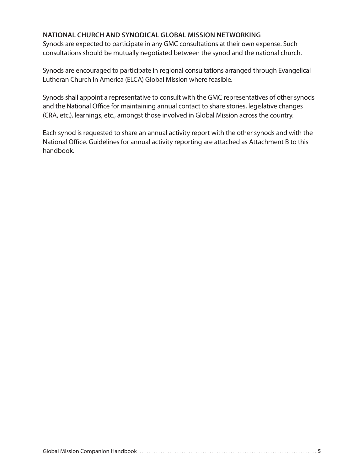#### **NATIONAL CHURCH AND SYNODICAL GLOBAL MISSION NETWORKING**

Synods are expected to participate in any GMC consultations at their own expense. Such consultations should be mutually negotiated between the synod and the national church.

Synods are encouraged to participate in regional consultations arranged through Evangelical Lutheran Church in America (ELCA) Global Mission where feasible.

Synods shall appoint a representative to consult with the GMC representatives of other synods and the National Office for maintaining annual contact to share stories, legislative changes (CRA, etc.), learnings, etc., amongst those involved in Global Mission across the country.

Each synod is requested to share an annual activity report with the other synods and with the National Office. Guidelines for annual activity reporting are attached as Attachment B to this handbook.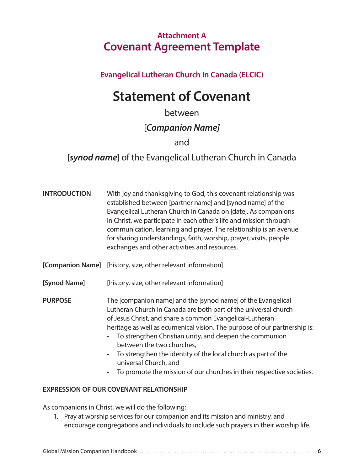## **Attachment A Covenant Agreement Template**

#### **Evangelical Lutheran Church in Canada (ELCIC)**

# **Statement of Covenant**

## between

## [*Companion Name]*

#### and

## [*synod name*] of the Evangelical Lutheran Church in Canada

| <b>INTRODUCTION</b> | With joy and thanksgiving to God, this covenant relationship was<br>established between [partner name] and [synod name] of the<br>Evangelical Lutheran Church in Canada on [date]. As companions<br>in Christ, we participate in each other's life and mission through<br>communication, learning and prayer. The relationship is an avenue<br>for sharing understandings, faith, worship, prayer, visits, people<br>exchanges and other activities and resources.                                                                               |
|---------------------|--------------------------------------------------------------------------------------------------------------------------------------------------------------------------------------------------------------------------------------------------------------------------------------------------------------------------------------------------------------------------------------------------------------------------------------------------------------------------------------------------------------------------------------------------|
|                     | [Companion Name] [history, size, other relevant information]                                                                                                                                                                                                                                                                                                                                                                                                                                                                                     |
| [Synod Name]        | [history, size, other relevant information]                                                                                                                                                                                                                                                                                                                                                                                                                                                                                                      |
| <b>PURPOSE</b>      | The [companion name] and the [synod name] of the Evangelical<br>Lutheran Church in Canada are both part of the universal church<br>of Jesus Christ, and share a common Evangelical-Lutheran<br>heritage as well as ecumenical vision. The purpose of our partnership is:<br>To strengthen Christian unity, and deepen the communion<br>between the two churches,<br>To strengthen the identity of the local church as part of the<br>$\bullet$<br>universal Church, and<br>To promote the mission of our churches in their respective societies. |

#### **EXPRESSION OF OUR COVENANT RELATIONSHIP**

As companions in Christ, we will do the following:

1. Pray at worship services for our companion and its mission and ministry, and encourage congregations and individuals to include such prayers in their worship life.

|--|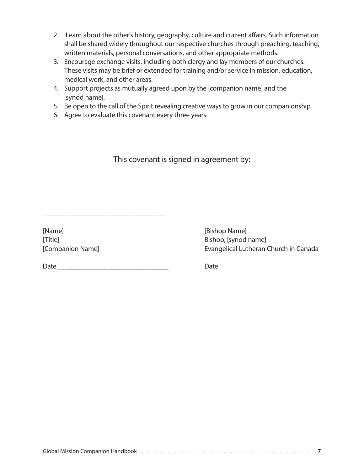- 2. Learn about the other's history, geography, culture and current affairs. Such information shall be shared widely throughout our respective churches through preaching, teaching, written materials, personal conversations, and other appropriate methods.
- 3. Encourage exchange visits, including both clergy and lay members of our churches. These visits may be brief or extended for training and/or service in mission, education, medical work, and other areas.
- 4. Support projects as mutually agreed upon by the [companion name] and the [synod name].
- 5. Be open to the call of the Spirit revealing creative ways to grow in our companionship.
- 6. Agree to evaluate this covenant every three years.

This covenant is signed in agreement by:

\_\_\_\_\_\_\_\_\_\_\_\_\_\_\_\_\_\_\_\_\_\_\_\_\_\_\_\_\_\_\_\_\_

\_\_\_\_\_\_\_\_\_\_\_\_\_\_\_\_\_\_\_\_\_\_\_\_\_\_\_\_\_\_\_\_

[Name] [Bishop Name]

Date \_\_\_\_\_\_\_\_\_\_\_\_\_\_\_\_\_\_\_\_\_\_\_\_\_\_\_\_\_ Date

[Title] Bishop, [synod name] [Companion Name] Evangelical Lutheran Church in Canada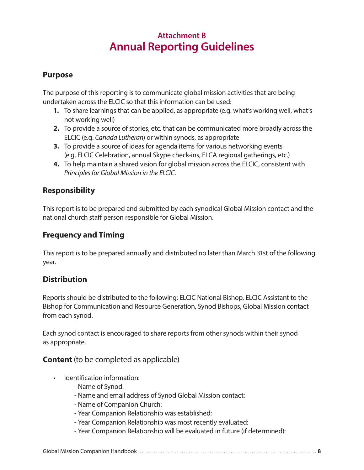## **Attachment B Annual Reporting Guidelines**

#### **Purpose**

The purpose of this reporting is to communicate global mission activities that are being undertaken across the ELCIC so that this information can be used:

- **1.** To share learnings that can be applied, as appropriate (e.g. what's working well, what's not working well)
- **2.** To provide a source of stories, etc. that can be communicated more broadly across the ELCIC (e.g. *Canada Lutheran*) or within synods, as appropriate
- **3.** To provide a source of ideas for agenda items for various networking events (e.g. ELCIC Celebration, annual Skype check-ins, ELCA regional gatherings, etc.)
- **4.** To help maintain a shared vision for global mission across the ELCIC, consistent with *Principles for Global Mission in the ELCIC*.

#### **Responsibility**

This report is to be prepared and submitted by each synodical Global Mission contact and the national church staff person responsible for Global Mission.

#### **Frequency and Timing**

This report is to be prepared annually and distributed no later than March 31st of the following year.

#### **Distribution**

Reports should be distributed to the following: ELCIC National Bishop, ELCIC Assistant to the Bishop for Communication and Resource Generation, Synod Bishops, Global Mission contact from each synod.

Each synod contact is encouraged to share reports from other synods within their synod as appropriate.

#### **Content** (to be completed as applicable)

- Identification information:
	- Name of Synod:
	- Name and email address of Synod Global Mission contact:
	- Name of Companion Church:
	- Year Companion Relationship was established:
	- Year Companion Relationship was most recently evaluated:
	- Year Companion Relationship will be evaluated in future (if determined):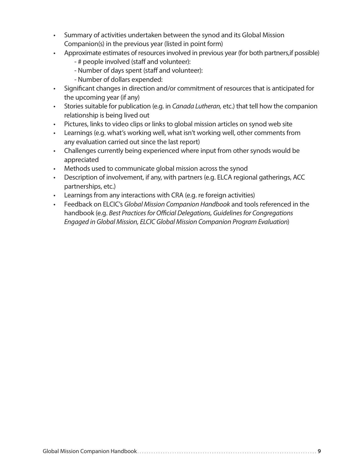- Summary of activities undertaken between the synod and its Global Mission Companion(s) in the previous year (listed in point form)
- Approximate estimates of resources involved in previous year (for both partners,if possible)
	- # people involved (staff and volunteer):
	- Number of days spent (staff and volunteer):
	- Number of dollars expended:
- Significant changes in direction and/or commitment of resources that is anticipated for the upcoming year (if any)
- Stories suitable for publication (e.g. in *Canada Lutheran,* etc.) that tell how the companion relationship is being lived out
- Pictures, links to video clips or links to global mission articles on synod web site
- Learnings (e.g. what's working well, what isn't working well, other comments from any evaluation carried out since the last report)
- Challenges currently being experienced where input from other synods would be appreciated
- Methods used to communicate global mission across the synod
- Description of involvement, if any, with partners (e.g. ELCA regional gatherings, ACC partnerships, etc.)
- Learnings from any interactions with CRA (e.g. re foreign activities)
- Feedback on ELCIC's *Global Mission Companion Handbook* and tools referenced in the handbook (e.g. *Best Practices for Official Delegations, Guidelines for Congregations Engaged in Global Mission, ELCIC Global Mission Companion Program Evaluation*)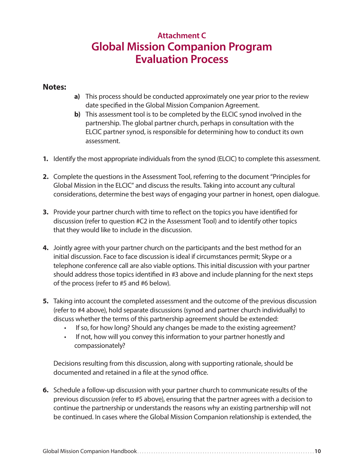## **Attachment C Global Mission Companion Program Evaluation Process**

#### **Notes:**

- **a)** This process should be conducted approximately one year prior to the review date specified in the Global Mission Companion Agreement.
- **b)** This assessment tool is to be completed by the ELCIC synod involved in the partnership. The global partner church, perhaps in consultation with the ELCIC partner synod, is responsible for determining how to conduct its own assessment.
- **1.** Identify the most appropriate individuals from the synod (ELCIC) to complete this assessment.
- **2.** Complete the questions in the Assessment Tool, referring to the document "Principles for Global Mission in the ELCIC" and discuss the results. Taking into account any cultural considerations, determine the best ways of engaging your partner in honest, open dialogue.
- **3.** Provide your partner church with time to reflect on the topics you have identified for discussion (refer to question #C2 in the Assessment Tool) and to identify other topics that they would like to include in the discussion.
- **4.** Jointly agree with your partner church on the participants and the best method for an initial discussion. Face to face discussion is ideal if circumstances permit; Skype or a telephone conference call are also viable options. This initial discussion with your partner should address those topics identified in #3 above and include planning for the next steps of the process (refer to #5 and #6 below).
- **5.** Taking into account the completed assessment and the outcome of the previous discussion (refer to #4 above), hold separate discussions (synod and partner church individually) to discuss whether the terms of this partnership agreement should be extended:
	- If so, for how long? Should any changes be made to the existing agreement?
	- If not, how will you convey this information to your partner honestly and compassionately?

Decisions resulting from this discussion, along with supporting rationale, should be documented and retained in a file at the synod office.

**6.** Schedule a follow-up discussion with your partner church to communicate results of the previous discussion (refer to #5 above), ensuring that the partner agrees with a decision to continue the partnership or understands the reasons why an existing partnership will not be continued. In cases where the Global Mission Companion relationship is extended, the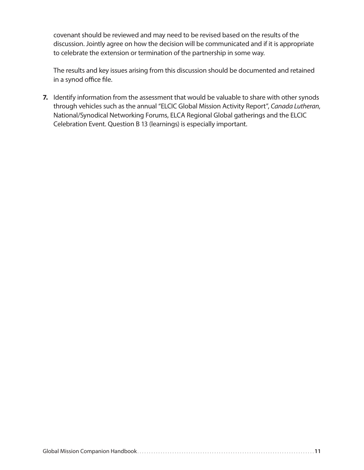covenant should be reviewed and may need to be revised based on the results of the discussion. Jointly agree on how the decision will be communicated and if it is appropriate to celebrate the extension or termination of the partnership in some way.

The results and key issues arising from this discussion should be documented and retained in a synod office file.

**7.** Identify information from the assessment that would be valuable to share with other synods through vehicles such as the annual "ELCIC Global Mission Activity Report", *Canada Lutheran*, National/Synodical Networking Forums, ELCA Regional Global gatherings and the ELCIC Celebration Event. Question B 13 (learnings) is especially important.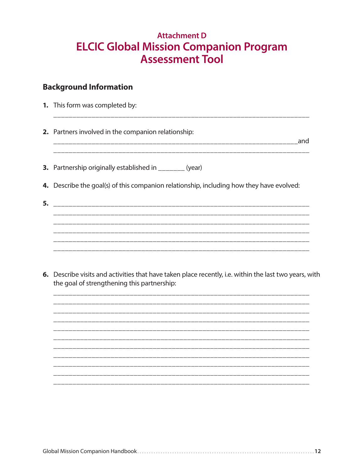## **Attachment D ELCIC Global Mission Companion Program Assessment Tool**

#### **Background Information**

1. This form was completed by:

2. Partners involved in the companion relationship:

\_\_\_\_\_\_\_\_\_\_\_\_\_\_\_\_\_\_\_\_\_\_\_\_\_\_\_\_\_

**3.** Partnership originally established in \_\_\_\_\_\_\_ (year)

- 4. Describe the goal(s) of this companion relationship, including how they have evolved:
- 
- 6. Describe visits and activities that have taken place recently, i.e. within the last two years, with the goal of strengthening this partnership:

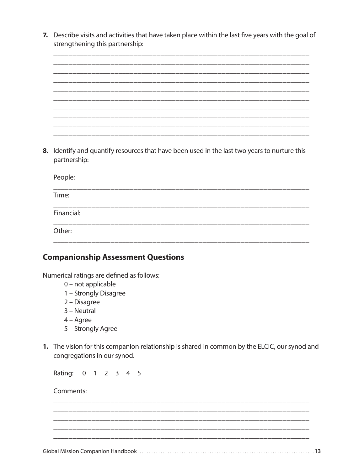7. Describe visits and activities that have taken place within the last five years with the goal of strengthening this partnership:



partnership:

| People:    |  |  |  |
|------------|--|--|--|
| Time:      |  |  |  |
| Financial: |  |  |  |
| Other:     |  |  |  |
|            |  |  |  |

#### **Companionship Assessment Questions**

Numerical ratings are defined as follows:

- 0 not applicable
- 1 Strongly Disagree
- 2 Disagree
- 3 Neutral
- $4 \text{Agree}$
- 5 Strongly Agree
- 1. The vision for this companion relationship is shared in common by the ELCIC, our synod and congregations in our synod.

Rating: 0 1 2 3 4 5

Comments: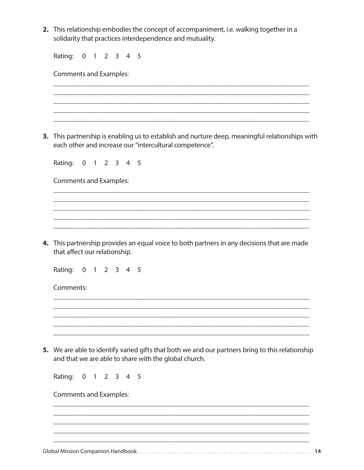2. This relationship embodies the concept of accompaniment, i.e. walking together in a solidarity that practices interdependence and mutuality.

| $1 2 3 4$<br>Rating:<br>$\overline{0}$<br>5                                                                                                             |
|---------------------------------------------------------------------------------------------------------------------------------------------------------|
| <b>Comments and Examples:</b>                                                                                                                           |
|                                                                                                                                                         |
| This partnership is enabling us to establish and nurture deep, meaningful relationships with<br>each other and increase our "intercultural competence". |
| Rating: 0 1 2 3 4 5                                                                                                                                     |
| <b>Comments and Examples:</b>                                                                                                                           |
|                                                                                                                                                         |
|                                                                                                                                                         |
|                                                                                                                                                         |
| 4. This partnership provides an equal voice to both partners in any decisions that are made<br>that affect our relationship.                            |
| Rating: 0 1 2 3 4 5                                                                                                                                     |
| Comments:                                                                                                                                               |
|                                                                                                                                                         |
|                                                                                                                                                         |
| We are able to identify varied gifts that both we and our partners bring to this relationship<br>and that we are able to share with the global church.  |
| Rating:<br>0 1 2 3 4 5                                                                                                                                  |
| <b>Comments and Examples:</b>                                                                                                                           |
|                                                                                                                                                         |
|                                                                                                                                                         |
|                                                                                                                                                         |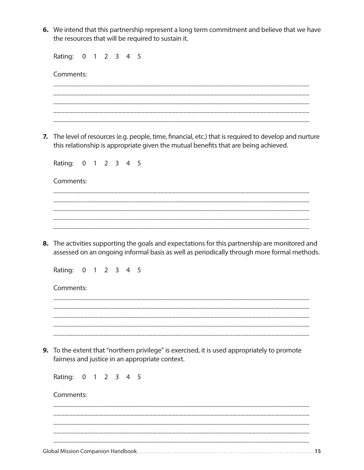**6.** We intend that this partnership represent a long term commitment and believe that we have the resources that will be required to sustain it.

Rating: 0 1 2 3 4 5

|    | Comments:                                                                                                                                                                                  |
|----|--------------------------------------------------------------------------------------------------------------------------------------------------------------------------------------------|
|    |                                                                                                                                                                                            |
|    |                                                                                                                                                                                            |
|    |                                                                                                                                                                                            |
| 7. | The level of resources (e.g. people, time, financial, etc.) that is required to develop and nurture<br>this relationship is appropriate given the mutual benefits that are being achieved. |
|    | Rating: 0<br>1 2 3 4 5                                                                                                                                                                     |
|    | Comments:                                                                                                                                                                                  |
|    |                                                                                                                                                                                            |
|    |                                                                                                                                                                                            |
|    |                                                                                                                                                                                            |
| 8. | The activities supporting the goals and expectations for this partnership are monitored and<br>assessed on an ongoing informal basis as well as periodically through more formal methods.  |
|    | Rating:<br>$\overline{0}$<br>1 2 3 4 5                                                                                                                                                     |
|    | Comments:                                                                                                                                                                                  |
|    |                                                                                                                                                                                            |
|    |                                                                                                                                                                                            |
|    |                                                                                                                                                                                            |
| 9. | To the extent that "northern privilege" is exercised, it is used appropriately to promote<br>fairness and justice in an appropriate context.                                               |
|    | Rating: 0 1 2 3 4 5                                                                                                                                                                        |
|    | Comments:                                                                                                                                                                                  |
|    |                                                                                                                                                                                            |
|    |                                                                                                                                                                                            |
|    |                                                                                                                                                                                            |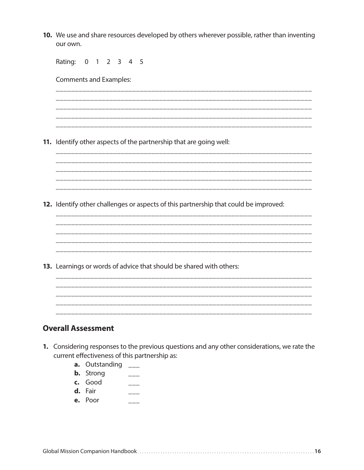10. We use and share resources developed by others wherever possible, rather than inventing our own.

| Rating:<br>$\mathbf 0$<br>2 3 4 5<br>$\overline{1}$                                  |
|--------------------------------------------------------------------------------------|
| <b>Comments and Examples:</b>                                                        |
|                                                                                      |
|                                                                                      |
|                                                                                      |
| 11. Identify other aspects of the partnership that are going well:                   |
|                                                                                      |
|                                                                                      |
|                                                                                      |
| 12. Identify other challenges or aspects of this partnership that could be improved: |
|                                                                                      |
|                                                                                      |
|                                                                                      |
| 13. Learnings or words of advice that should be shared with others:                  |
|                                                                                      |
|                                                                                      |
|                                                                                      |

#### **Overall Assessment**

- 1. Considering responses to the previous questions and any other considerations, we rate the current effectiveness of this partnership as:
	- **a.** Outstanding \_\_\_
	- **b.** Strong  $\frac{1}{2}$
	- c. Good  $\frac{1}{1}$
	- d. Fair  $\frac{1}{2}$
	- e. Poor  $\frac{1}{1}$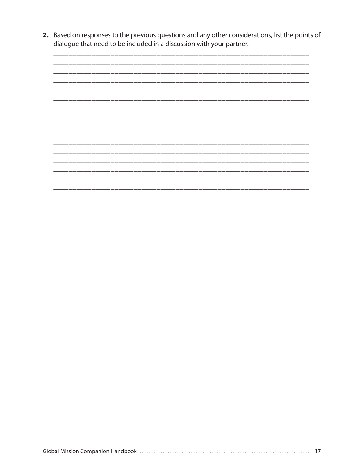2. Based on responses to the previous questions and any other considerations, list the points of dialogue that need to be included in a discussion with your partner.

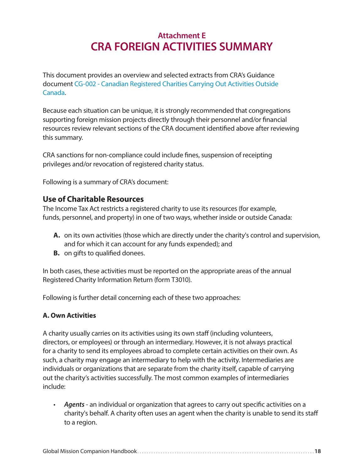## **Attachment E CRA FOREIGN ACTIVITIES SUMMARY**

This document provides an overview and selected extracts from CRA's Guidance document CG-002 - Canadian Registered Charities Carrying Out Activities Outside Canada.

Because each situation can be unique, it is strongly recommended that congregations supporting foreign mission projects directly through their personnel and/or financial resources review relevant sections of the CRA document identified above after reviewing this summary.

CRA sanctions for non-compliance could include fines, suspension of receipting privileges and/or revocation of registered charity status.

Following is a summary of CRA's document:

#### **Use of Charitable Resources**

The Income Tax Act restricts a registered charity to use its resources (for example, funds, personnel, and property) in one of two ways, whether inside or outside Canada:

- **A.** on its own activities (those which are directly under the charity's control and supervision, and for which it can account for any funds expended); and
- **B.** on gifts to qualified donees.

In both cases, these activities must be reported on the appropriate areas of the annual Registered Charity Information Return (form T3010).

Following is further detail concerning each of these two approaches:

#### **A. Own Activities**

A charity usually carries on its activities using its own staff (including volunteers, directors, or employees) or through an intermediary. However, it is not always practical for a charity to send its employees abroad to complete certain activities on their own. As such, a charity may engage an intermediary to help with the activity. Intermediaries are individuals or organizations that are separate from the charity itself, capable of carrying out the charity's activities successfully. The most common examples of intermediaries include:

• *Agents* - an individual or organization that agrees to carry out specific activities on a charity's behalf. A charity often uses an agent when the charity is unable to send its staff to a region.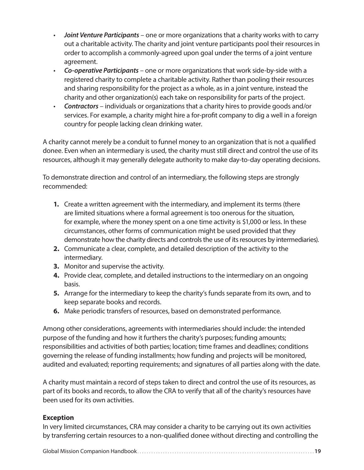- *Joint Venture Participants* one or more organizations that a charity works with to carry out a charitable activity. The charity and joint venture participants pool their resources in order to accomplish a commonly-agreed upon goal under the terms of a joint venture agreement.
- *Co-operative Participants* one or more organizations that work side-by-side with a registered charity to complete a charitable activity. Rather than pooling their resources and sharing responsibility for the project as a whole, as in a joint venture, instead the charity and other organization(s) each take on responsibility for parts of the project.
- *Contractors* individuals or organizations that a charity hires to provide goods and/or services. For example, a charity might hire a for-profit company to dig a well in a foreign country for people lacking clean drinking water.

A charity cannot merely be a conduit to funnel money to an organization that is not a qualified donee. Even when an intermediary is used, the charity must still direct and control the use of its resources, although it may generally delegate authority to make day-to-day operating decisions.

To demonstrate direction and control of an intermediary, the following steps are strongly recommended:

- **1.** Create a written agreement with the intermediary, and implement its terms (there are limited situations where a formal agreement is too onerous for the situation, for example, where the money spent on a one time activity is \$1,000 or less. In these circumstances, other forms of communication might be used provided that they demonstrate how the charity directs and controls the use of its resources by intermediaries).
- **2.** Communicate a clear, complete, and detailed description of the activity to the intermediary.
- **3.** Monitor and supervise the activity.
- **4.** Provide clear, complete, and detailed instructions to the intermediary on an ongoing basis.
- **5.** Arrange for the intermediary to keep the charity's funds separate from its own, and to keep separate books and records.
- **6.** Make periodic transfers of resources, based on demonstrated performance.

Among other considerations, agreements with intermediaries should include: the intended purpose of the funding and how it furthers the charity's purposes; funding amounts; responsibilities and activities of both parties; location; time frames and deadlines; conditions governing the release of funding installments; how funding and projects will be monitored, audited and evaluated; reporting requirements; and signatures of all parties along with the date.

A charity must maintain a record of steps taken to direct and control the use of its resources, as part of its books and records, to allow the CRA to verify that all of the charity's resources have been used for its own activities.

#### **Exception**

In very limited circumstances, CRA may consider a charity to be carrying out its own activities by transferring certain resources to a non-qualified donee without directing and controlling the

Global Mission Companion Handbook . . . . . . . . . . . . . . . . . . . . . . . . . . . . . . . . . . . . . . . . . . . . . . . . . . . . . . . . . . . . . . . . . . . . . . . . . . . **19**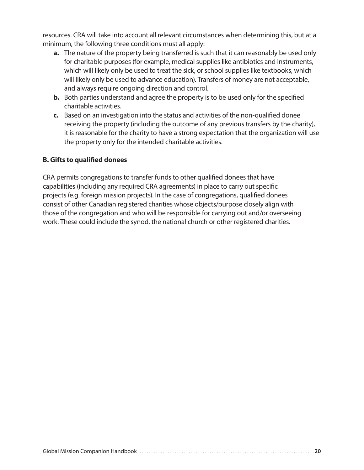resources. CRA will take into account all relevant circumstances when determining this, but at a minimum, the following three conditions must all apply:

- **a.** The nature of the property being transferred is such that it can reasonably be used only for charitable purposes (for example, medical supplies like antibiotics and instruments, which will likely only be used to treat the sick, or school supplies like textbooks, which will likely only be used to advance education). Transfers of money are not acceptable, and always require ongoing direction and control.
- **b.** Both parties understand and agree the property is to be used only for the specified charitable activities.
- **c.** Based on an investigation into the status and activities of the non-qualified donee receiving the property (including the outcome of any previous transfers by the charity), it is reasonable for the charity to have a strong expectation that the organization will use the property only for the intended charitable activities.

#### **B. Gifts to qualified donees**

CRA permits congregations to transfer funds to other qualified donees that have capabilities (including any required CRA agreements) in place to carry out specific projects (e.g. foreign mission projects). In the case of congregations, qualified donees consist of other Canadian registered charities whose objects/purpose closely align with those of the congregation and who will be responsible for carrying out and/or overseeing work. These could include the synod, the national church or other registered charities.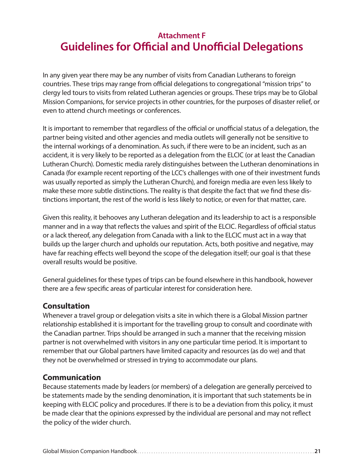## **Attachment F Guidelines for Official and Unofficial Delegations**

In any given year there may be any number of visits from Canadian Lutherans to foreign countries. These trips may range from official delegations to congregational "mission trips" to clergy led tours to visits from related Lutheran agencies or groups. These trips may be to Global Mission Companions, for service projects in other countries, for the purposes of disaster relief, or even to attend church meetings or conferences.

It is important to remember that regardless of the official or unofficial status of a delegation, the partner being visited and other agencies and media outlets will generally not be sensitive to the internal workings of a denomination. As such, if there were to be an incident, such as an accident, it is very likely to be reported as a delegation from the ELCIC (or at least the Canadian Lutheran Church). Domestic media rarely distinguishes between the Lutheran denominations in Canada (for example recent reporting of the LCC's challenges with one of their investment funds was usually reported as simply the Lutheran Church), and foreign media are even less likely to make these more subtle distinctions. The reality is that despite the fact that we find these distinctions important, the rest of the world is less likely to notice, or even for that matter, care.

Given this reality, it behooves any Lutheran delegation and its leadership to act is a responsible manner and in a way that reflects the values and spirit of the ELCIC. Regardless of official status or a lack thereof, any delegation from Canada with a link to the ELCIC must act in a way that builds up the larger church and upholds our reputation. Acts, both positive and negative, may have far reaching effects well beyond the scope of the delegation itself; our goal is that these overall results would be positive.

General guidelines for these types of trips can be found elsewhere in this handbook, however there are a few specific areas of particular interest for consideration here.

#### **Consultation**

Whenever a travel group or delegation visits a site in which there is a Global Mission partner relationship established it is important for the travelling group to consult and coordinate with the Canadian partner. Trips should be arranged in such a manner that the receiving mission partner is not overwhelmed with visitors in any one particular time period. It is important to remember that our Global partners have limited capacity and resources (as do we) and that they not be overwhelmed or stressed in trying to accommodate our plans.

#### **Communication**

Because statements made by leaders (or members) of a delegation are generally perceived to be statements made by the sending denomination, it is important that such statements be in keeping with ELCIC policy and procedures. If there is to be a deviation from this policy, it must be made clear that the opinions expressed by the individual are personal and may not reflect the policy of the wider church.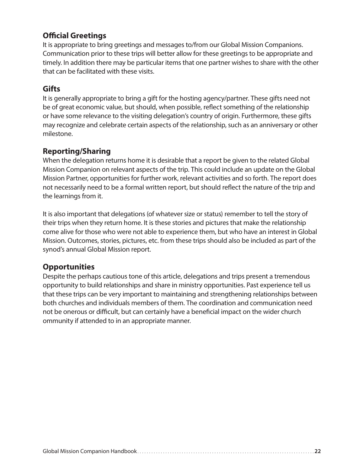#### **Official Greetings**

It is appropriate to bring greetings and messages to/from our Global Mission Companions. Communication prior to these trips will better allow for these greetings to be appropriate and timely. In addition there may be particular items that one partner wishes to share with the other that can be facilitated with these visits.

#### **Gifts**

It is generally appropriate to bring a gift for the hosting agency/partner. These gifts need not be of great economic value, but should, when possible, reflect something of the relationship or have some relevance to the visiting delegation's country of origin. Furthermore, these gifts may recognize and celebrate certain aspects of the relationship, such as an anniversary or other milestone.

#### **Reporting/Sharing**

When the delegation returns home it is desirable that a report be given to the related Global Mission Companion on relevant aspects of the trip. This could include an update on the Global Mission Partner, opportunities for further work, relevant activities and so forth. The report does not necessarily need to be a formal written report, but should reflect the nature of the trip and the learnings from it.

It is also important that delegations (of whatever size or status) remember to tell the story of their trips when they return home. It is these stories and pictures that make the relationship come alive for those who were not able to experience them, but who have an interest in Global Mission. Outcomes, stories, pictures, etc. from these trips should also be included as part of the synod's annual Global Mission report.

#### **Opportunities**

Despite the perhaps cautious tone of this article, delegations and trips present a tremendous opportunity to build relationships and share in ministry opportunities. Past experience tell us that these trips can be very important to maintaining and strengthening relationships between both churches and individuals members of them. The coordination and communication need not be onerous or difficult, but can certainly have a beneficial impact on the wider church ommunity if attended to in an appropriate manner.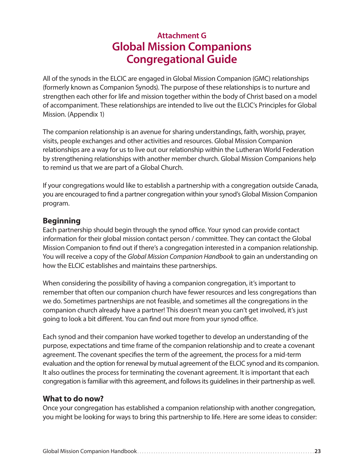## **Attachment G Global Mission Companions Congregational Guide**

All of the synods in the ELCIC are engaged in Global Mission Companion (GMC) relationships (formerly known as Companion Synods). The purpose of these relationships is to nurture and strengthen each other for life and mission together within the body of Christ based on a model of accompaniment. These relationships are intended to live out the ELCIC's Principles for Global Mission. (Appendix 1)

The companion relationship is an avenue for sharing understandings, faith, worship, prayer, visits, people exchanges and other activities and resources. Global Mission Companion relationships are a way for us to live out our relationship within the Lutheran World Federation by strengthening relationships with another member church. Global Mission Companions help to remind us that we are part of a Global Church.

If your congregations would like to establish a partnership with a congregation outside Canada, you are encouraged to find a partner congregation within your synod's Global Mission Companion program.

#### **Beginning**

Each partnership should begin through the synod office. Your synod can provide contact information for their global mission contact person / committee. They can contact the Global Mission Companion to find out if there's a congregation interested in a companion relationship. You will receive a copy of the *Global Mission Companion Handbook* to gain an understanding on how the ELCIC establishes and maintains these partnerships.

When considering the possibility of having a companion congregation, it's important to remember that often our companion church have fewer resources and less congregations than we do. Sometimes partnerships are not feasible, and sometimes all the congregations in the companion church already have a partner! This doesn't mean you can't get involved, it's just going to look a bit different. You can find out more from your synod office.

Each synod and their companion have worked together to develop an understanding of the purpose, expectations and time frame of the companion relationship and to create a covenant agreement. The covenant specifies the term of the agreement, the process for a mid-term evaluation and the option for renewal by mutual agreement of the ELCIC synod and its companion. It also outlines the process for terminating the covenant agreement. It is important that each congregation is familiar with this agreement, and follows its guidelines in their partnership as well.

#### **What to do now?**

Once your congregation has established a companion relationship with another congregation, you might be looking for ways to bring this partnership to life. Here are some ideas to consider: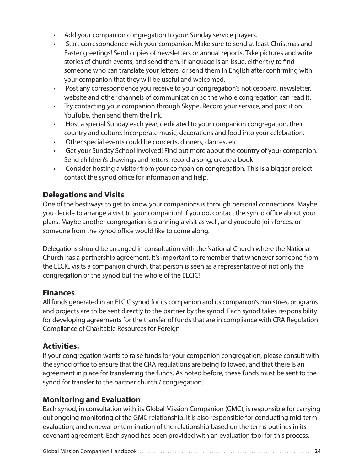- Add your companion congregation to your Sunday service prayers.
- Start correspondence with your companion. Make sure to send at least Christmas and Easter greetings! Send copies of newsletters or annual reports. Take pictures and write stories of church events, and send them. If language is an issue, either try to find someone who can translate your letters, or send them in English after confirming with your companion that they will be useful and welcomed.
- Post any correspondence you receive to your congregation's noticeboard, newsletter, website and other channels of communication so the whole congregation can read it.
- Try contacting your companion through Skype. Record your service, and post it on YouTube, then send them the link.
- Host a special Sunday each year, dedicated to your companion congregation, their country and culture. Incorporate music, decorations and food into your celebration.
- Other special events could be concerts, dinners, dances, etc.
- Get your Sunday School involved! Find out more about the country of your companion. Send children's drawings and letters, record a song, create a book.
- Consider hosting a visitor from your companion congregation. This is a bigger project contact the synod office for information and help.

#### **Delegations and Visits**

One of the best ways to get to know your companions is through personal connections. Maybe you decide to arrange a visit to your companion! If you do, contact the synod office about your plans. Maybe another congregation is planning a visit as well, and youcould join forces, or someone from the synod office would like to come along.

Delegations should be arranged in consultation with the National Church where the National Church has a partnership agreement. It's important to remember that whenever someone from the ELCIC visits a companion church, that person is seen as a representative of not only the congregation or the synod but the whole of the ELCIC!

#### **Finances**

All funds generated in an ELCIC synod for its companion and its companion's ministries, programs and projects are to be sent directly to the partner by the synod. Each synod takes responsibility for developing agreements for the transfer of funds that are in compliance with CRA Regulation Compliance of Charitable Resources for Foreign

#### **Activities.**

If your congregation wants to raise funds for your companion congregation, please consult with the synod office to ensure that the CRA regulations are being followed, and that there is an agreement in place for transferring the funds. As noted before, these funds must be sent to the synod for transfer to the partner church / congregation.

#### **Monitoring and Evaluation**

Each synod, in consultation with its Global Mission Companion (GMC), is responsible for carrying out ongoing monitoring of the GMC relationship. It is also responsible for conducting mid-term evaluation, and renewal or termination of the relationship based on the terms outlines in its covenant agreement. Each synod has been provided with an evaluation tool for this process.

```
Global Mission Companion Handbook . . . . . . . . . . . . . . . . . . . . . . . . . . . . . . . . . . . . . . . . . . . . . . . . . . . . . . . . . . . . . . . . . . . . . . . . . . . 24
```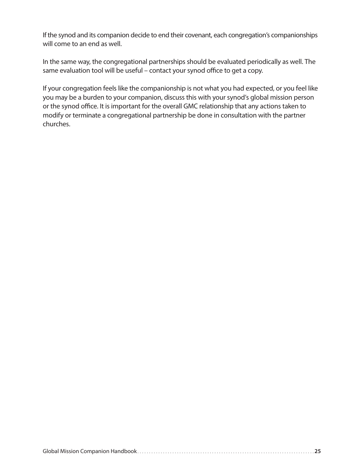If the synod and its companion decide to end their covenant, each congregation's companionships will come to an end as well.

In the same way, the congregational partnerships should be evaluated periodically as well. The same evaluation tool will be useful – contact your synod office to get a copy.

If your congregation feels like the companionship is not what you had expected, or you feel like you may be a burden to your companion, discuss this with your synod's global mission person or the synod office. It is important for the overall GMC relationship that any actions taken to modify or terminate a congregational partnership be done in consultation with the partner churches.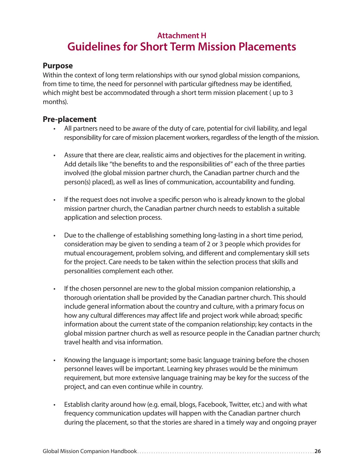## **Attachment H Guidelines for Short Term Mission Placements**

#### **Purpose**

Within the context of long term relationships with our synod global mission companions, from time to time, the need for personnel with particular giftedness may be identified, which might best be accommodated through a short term mission placement ( up to 3 months).

#### **Pre-placement**

- All partners need to be aware of the duty of care, potential for civil liability, and legal responsibility for care of mission placement workers, regardless of the length of the mission.
- Assure that there are clear, realistic aims and objectives for the placement in writing. Add details like "the benefits to and the responsibilities of" each of the three parties involved (the global mission partner church, the Canadian partner church and the person(s) placed), as well as lines of communication, accountability and funding.
- If the request does not involve a specific person who is already known to the global mission partner church, the Canadian partner church needs to establish a suitable application and selection process.
- Due to the challenge of establishing something long-lasting in a short time period, consideration may be given to sending a team of 2 or 3 people which provides for mutual encouragement, problem solving, and different and complementary skill sets for the project. Care needs to be taken within the selection process that skills and personalities complement each other.
- If the chosen personnel are new to the global mission companion relationship, a thorough orientation shall be provided by the Canadian partner church. This should include general information about the country and culture, with a primary focus on how any cultural differences may affect life and project work while abroad; specific information about the current state of the companion relationship; key contacts in the global mission partner church as well as resource people in the Canadian partner church; travel health and visa information.
- Knowing the language is important; some basic language training before the chosen personnel leaves will be important. Learning key phrases would be the minimum requirement, but more extensive language training may be key for the success of the project, and can even continue while in country.
- Establish clarity around how (e.g. email, blogs, Facebook, Twitter, etc.) and with what frequency communication updates will happen with the Canadian partner church during the placement, so that the stories are shared in a timely way and ongoing prayer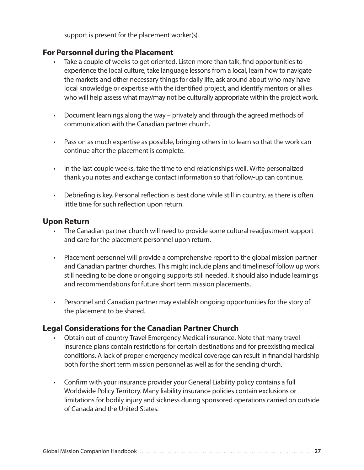support is present for the placement worker(s).

#### **For Personnel during the Placement**

- Take a couple of weeks to get oriented. Listen more than talk, find opportunities to experience the local culture, take language lessons from a local, learn how to navigate the markets and other necessary things for daily life, ask around about who may have local knowledge or expertise with the identified project, and identify mentors or allies who will help assess what may/may not be culturally appropriate within the project work.
- Document learnings along the way privately and through the agreed methods of communication with the Canadian partner church.
- Pass on as much expertise as possible, bringing others in to learn so that the work can continue after the placement is complete.
- In the last couple weeks, take the time to end relationships well. Write personalized thank you notes and exchange contact information so that follow-up can continue.
- Debriefing is key. Personal reflection is best done while still in country, as there is often little time for such reflection upon return.

#### **Upon Return**

- The Canadian partner church will need to provide some cultural readjustment support and care for the placement personnel upon return.
- Placement personnel will provide a comprehensive report to the global mission partner and Canadian partner churches. This might include plans and timelinesof follow up work still needing to be done or ongoing supports still needed. It should also include learnings and recommendations for future short term mission placements.
- Personnel and Canadian partner may establish ongoing opportunities for the story of the placement to be shared.

#### **Legal Considerations for the Canadian Partner Church**

- Obtain out-of-country Travel Emergency Medical insurance. Note that many travel insurance plans contain restrictions for certain destinations and for preexisting medical conditions. A lack of proper emergency medical coverage can result in financial hardship both for the short term mission personnel as well as for the sending church.
- Confirm with your insurance provider your General Liability policy contains a full Worldwide Policy Territory. Many liability insurance policies contain exclusions or limitations for bodily injury and sickness during sponsored operations carried on outside of Canada and the United States.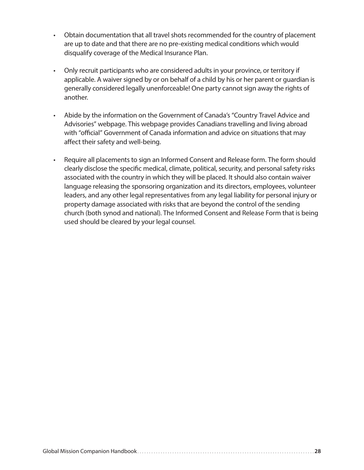- Obtain documentation that all travel shots recommended for the country of placement are up to date and that there are no pre-existing medical conditions which would disqualify coverage of the Medical Insurance Plan.
- Only recruit participants who are considered adults in your province, or territory if applicable. A waiver signed by or on behalf of a child by his or her parent or guardian is generally considered legally unenforceable! One party cannot sign away the rights of another.
- Abide by the information on the Government of Canada's "Country Travel Advice and Advisories" webpage. This webpage provides Canadians travelling and living abroad with "official" Government of Canada information and advice on situations that may affect their safety and well-being.
- Require all placements to sign an Informed Consent and Release form. The form should clearly disclose the specific medical, climate, political, security, and personal safety risks associated with the country in which they will be placed. It should also contain waiver language releasing the sponsoring organization and its directors, employees, volunteer leaders, and any other legal representatives from any legal liability for personal injury or property damage associated with risks that are beyond the control of the sending church (both synod and national). The Informed Consent and Release Form that is being used should be cleared by your legal counsel.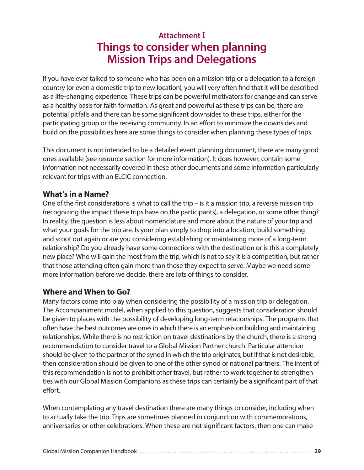## **Attachment** I **Things to consider when planning Mission Trips and Delegations**

If you have ever talked to someone who has been on a mission trip or a delegation to a foreign country (or even a domestic trip to new location), you will very often find that it will be described as a life-changing experience. These trips can be powerful motivators for change and can serve as a healthy basis for faith formation. As great and powerful as these trips can be, there are potential pitfalls and there can be some significant downsides to these trips, either for the participating group or the receiving community. In an effort to minimize the downsides and build on the possibilities here are some things to consider when planning these types of trips.

This document is not intended to be a detailed event planning document, there are many good ones available (see resource section for more information). It does however, contain some information not necessarily covered in these other documents and some information particularly relevant for trips with an ELCIC connection.

#### **What's in a Name?**

One of the first considerations is what to call the trip – is it a mission trip, a reverse mission trip (recognizing the impact these trips have on the participants), a delegation, or some other thing? In reality, the question is less about nomenclature and more about the nature of your trip and what your goals for the trip are. Is your plan simply to drop into a location, build something and scoot out again or are you considering establishing or maintaining more of a long-term relationship? Do you already have some connections with the destination or is this a completely new place? Who will gain the most from the trip, which is not to say it is a competition, but rather that those attending often gain more than those they expect to serve. Maybe we need some more information before we decide, there are lots of things to consider.

#### **Where and When to Go?**

Many factors come into play when considering the possibility of a mission trip or delegation. The Accompaniment model, when applied to this question, suggests that consideration should be given to places with the possibility of developing long-term relationships. The programs that often have the best outcomes are ones in which there is an emphasis on building and maintaining relationships. While there is no restriction on travel destinations by the church, there is a strong recommendation to consider travel to a Global Mission Partner church. Particular attention should be given to the partner of the synod in which the trip originates, but if that is not desirable, then consideration should be given to one of the other synod or national partners. The intent of this recommendation is not to prohibit other travel, but rather to work together to strengthen ties with our Global Mission Companions as these trips can certainly be a significant part of that effort.

When contemplating any travel destination there are many things to consider, including when to actually take the trip. Trips are sometimes planned in conjunction with commemorations, anniversaries or other celebrations. When these are not significant factors, then one can make

|--|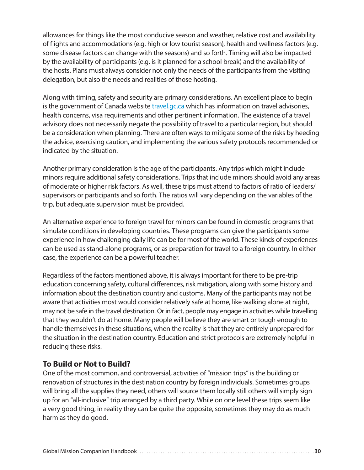allowances for things like the most conducive season and weather, relative cost and availability of flights and accommodations (e.g. high or low tourist season), health and wellness factors (e.g. some disease factors can change with the seasons) and so forth. Timing will also be impacted by the availability of participants (e.g. is it planned for a school break) and the availability of the hosts. Plans must always consider not only the needs of the participants from the visiting delegation, but also the needs and realities of those hosting.

Along with timing, safety and security are primary considerations. An excellent place to begin is the government of Canada website travel.gc.ca which has information on travel advisories, health concerns, visa requirements and other pertinent information. The existence of a travel advisory does not necessarily negate the possibility of travel to a particular region, but should be a consideration when planning. There are often ways to mitigate some of the risks by heeding the advice, exercising caution, and implementing the various safety protocols recommended or indicated by the situation.

Another primary consideration is the age of the participants. Any trips which might include minors require additional safety considerations. Trips that include minors should avoid any areas of moderate or higher risk factors. As well, these trips must attend to factors of ratio of leaders/ supervisors or participants and so forth. The ratios will vary depending on the variables of the trip, but adequate supervision must be provided.

An alternative experience to foreign travel for minors can be found in domestic programs that simulate conditions in developing countries. These programs can give the participants some experience in how challenging daily life can be for most of the world. These kinds of experiences can be used as stand-alone programs, or as preparation for travel to a foreign country. In either case, the experience can be a powerful teacher.

Regardless of the factors mentioned above, it is always important for there to be pre-trip education concerning safety, cultural differences, risk mitigation, along with some history and information about the destination country and customs. Many of the participants may not be aware that activities most would consider relatively safe at home, like walking alone at night, may not be safe in the travel destination. Or in fact, people may engage in activities while travelling that they wouldn't do at home. Many people will believe they are smart or tough enough to handle themselves in these situations, when the reality is that they are entirely unprepared for the situation in the destination country. Education and strict protocols are extremely helpful in reducing these risks.

#### **To Build or Not to Build?**

One of the most common, and controversial, activities of "mission trips" is the building or renovation of structures in the destination country by foreign individuals. Sometimes groups will bring all the supplies they need, others will source them locally still others will simply sign up for an "all-inclusive" trip arranged by a third party. While on one level these trips seem like a very good thing, in reality they can be quite the opposite, sometimes they may do as much harm as they do good.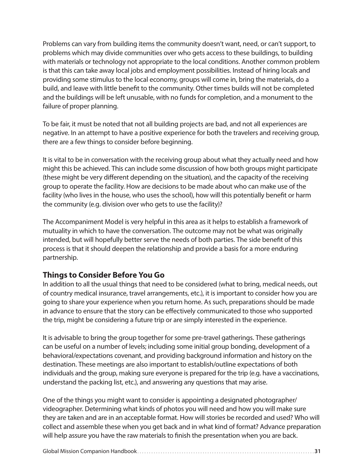Problems can vary from building items the community doesn't want, need, or can't support, to problems which may divide communities over who gets access to these buildings, to building with materials or technology not appropriate to the local conditions. Another common problem is that this can take away local jobs and employment possibilities. Instead of hiring locals and providing some stimulus to the local economy, groups will come in, bring the materials, do a build, and leave with little benefit to the community. Other times builds will not be completed and the buildings will be left unusable, with no funds for completion, and a monument to the failure of proper planning.

To be fair, it must be noted that not all building projects are bad, and not all experiences are negative. In an attempt to have a positive experience for both the travelers and receiving group, there are a few things to consider before beginning.

It is vital to be in conversation with the receiving group about what they actually need and how might this be achieved. This can include some discussion of how both groups might participate (these might be very different depending on the situation), and the capacity of the receiving group to operate the facility. How are decisions to be made about who can make use of the facility (who lives in the house, who uses the school), how will this potentially benefit or harm the community (e.g. division over who gets to use the facility)?

The Accompaniment Model is very helpful in this area as it helps to establish a framework of mutuality in which to have the conversation. The outcome may not be what was originally intended, but will hopefully better serve the needs of both parties. The side benefit of this process is that it should deepen the relationship and provide a basis for a more enduring partnership.

#### **Things to Consider Before You Go**

In addition to all the usual things that need to be considered (what to bring, medical needs, out of country medical insurance, travel arrangements, etc.), it is important to consider how you are going to share your experience when you return home. As such, preparations should be made in advance to ensure that the story can be effectively communicated to those who supported the trip, might be considering a future trip or are simply interested in the experience.

It is advisable to bring the group together for some pre-travel gatherings. These gatherings can be useful on a number of levels; including some initial group bonding, development of a behavioral/expectations covenant, and providing background information and history on the destination. These meetings are also important to establish/outline expectations of both individuals and the group, making sure everyone is prepared for the trip (e.g. have a vaccinations, understand the packing list, etc.), and answering any questions that may arise.

One of the things you might want to consider is appointing a designated photographer/ videographer. Determining what kinds of photos you will need and how you will make sure they are taken and are in an acceptable format. How will stories be recorded and used? Who will collect and assemble these when you get back and in what kind of format? Advance preparation will help assure you have the raw materials to finish the presentation when you are back.

|--|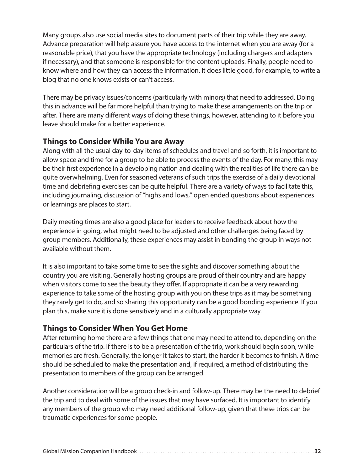Many groups also use social media sites to document parts of their trip while they are away. Advance preparation will help assure you have access to the internet when you are away (for a reasonable price), that you have the appropriate technology (including chargers and adapters if necessary), and that someone is responsible for the content uploads. Finally, people need to know where and how they can access the information. It does little good, for example, to write a blog that no one knows exists or can't access.

There may be privacy issues/concerns (particularly with minors) that need to addressed. Doing this in advance will be far more helpful than trying to make these arrangements on the trip or after. There are many different ways of doing these things, however, attending to it before you leave should make for a better experience.

#### **Things to Consider While You are Away**

Along with all the usual day-to-day items of schedules and travel and so forth, it is important to allow space and time for a group to be able to process the events of the day. For many, this may be their first experience in a developing nation and dealing with the realities of life there can be quite overwhelming. Even for seasoned veterans of such trips the exercise of a daily devotional time and debriefing exercises can be quite helpful. There are a variety of ways to facilitate this, including journaling, discussion of "highs and lows," open ended questions about experiences or learnings are places to start.

Daily meeting times are also a good place for leaders to receive feedback about how the experience in going, what might need to be adjusted and other challenges being faced by group members. Additionally, these experiences may assist in bonding the group in ways not available without them.

It is also important to take some time to see the sights and discover something about the country you are visiting. Generally hosting groups are proud of their country and are happy when visitors come to see the beauty they offer. If appropriate it can be a very rewarding experience to take some of the hosting group with you on these trips as it may be something they rarely get to do, and so sharing this opportunity can be a good bonding experience. If you plan this, make sure it is done sensitively and in a culturally appropriate way.

#### **Things to Consider When You Get Home**

After returning home there are a few things that one may need to attend to, depending on the particulars of the trip. If there is to be a presentation of the trip, work should begin soon, while memories are fresh. Generally, the longer it takes to start, the harder it becomes to finish. A time should be scheduled to make the presentation and, if required, a method of distributing the presentation to members of the group can be arranged.

Another consideration will be a group check-in and follow-up. There may be the need to debrief the trip and to deal with some of the issues that may have surfaced. It is important to identify any members of the group who may need additional follow-up, given that these trips can be traumatic experiences for some people.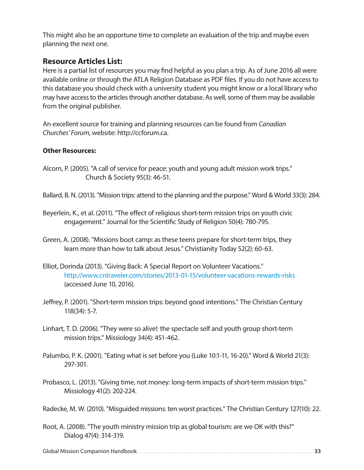This might also be an opportune time to complete an evaluation of the trip and maybe even planning the next one.

#### **Resource Articles List:**

Here is a partial list of resources you may find helpful as you plan a trip. As of June 2016 all were available online or through the ATLA Religion Database as PDF files. If you do not have access to this database you should check with a university student you might know or a local library who may have access to the articles through another database. As well, some of them may be available from the original publisher.

An excellent source for training and planning resources can be found from *Canadian Churches' Forum*, website: http://ccforum.ca.

#### **Other Resources:**

- Alcorn, P. (2005). "A call of service for peace: youth and young adult mission work trips." Church & Society 95(3): 46-51.
- Ballard, B. N. (2013). "Mission trips: attend to the planning and the purpose." Word & World 33(3): 284.
- Beyerlein, K., et al. (2011). "The effect of religious short-term mission trips on youth civic engagement." Journal for the Scientific Study of Religion 50(4): 780-795.
- Green, A. (2008). "Missions boot camp: as these teens prepare for short-term trips, they learn more than how to talk about Jesus." Christianity Today 52(2): 60-63.
- Elliot, Dorinda (2013). "Giving Back: A Special Report on Volunteer Vacations." http://www.cntraveler.com/stories/2013-01-15/volunteer-vacations-rewards-risks (accessed June 10, 2016).
- Jeffrey, P. (2001). "Short-term mission trips: beyond good intentions." The Christian Century 118(34): 5-7.
- Linhart, T. D. (2006). "They were so alive!: the spectacle self and youth group short-term mission trips." Missiology 34(4): 451-462.
- Palumbo, P. K. (2001). "Eating what is set before you (Luke 10:1-11, 16-20)." Word & World 21(3): 297-301.
- Probasco, L. (2013). "Giving time, not money: long-term impacts of short-term mission trips." Missiology 41(2): 202-224.

Radecke, M. W. (2010). "Misguided missions: ten worst practices." The Christian Century 127(10): 22.

Root, A. (2008). "The youth ministry mission trip as global tourism: are we OK with this?" Dialog 47(4): 314-319.

Global Mission Companion Handbook . . . . . . . . . . . . . . . . . . . . . . . . . . . . . . . . . . . . . . . . . . . . . . . . . . . . . . . . . . . . . . . . . . . . . . . . . . . **33**